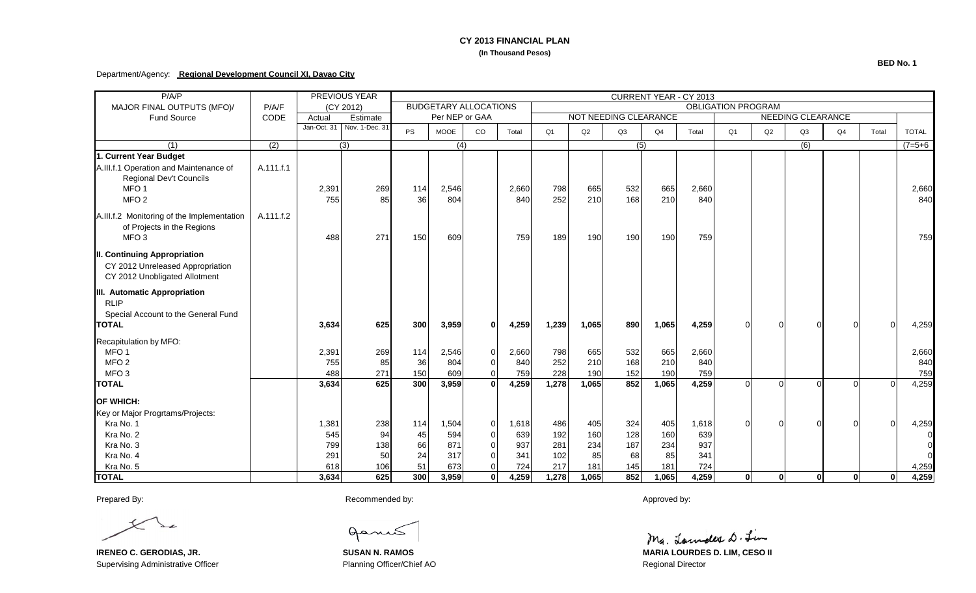### **CY 2013 FINANCIAL PLAN (In Thousand Pesos)**

### Department/Agency: **Regional Development Council XI, Davao City**

| P/A/P                                                                                                           |           |        | <b>PREVIOUS YEAR</b>       | CURRENT YEAR - CY 2013                                    |                  |                |       |                |                       |     |       |       |                          |              |              |                |       |              |
|-----------------------------------------------------------------------------------------------------------------|-----------|--------|----------------------------|-----------------------------------------------------------|------------------|----------------|-------|----------------|-----------------------|-----|-------|-------|--------------------------|--------------|--------------|----------------|-------|--------------|
| MAJOR FINAL OUTPUTS (MFO)/                                                                                      | P/A/F     |        | (CY 2012)                  | <b>BUDGETARY ALLOCATIONS</b><br><b>OBLIGATION PROGRAM</b> |                  |                |       |                |                       |     |       |       |                          |              |              |                |       |              |
| <b>Fund Source</b>                                                                                              | CODE      | Actual | Estimate                   | Per NEP or GAA                                            |                  |                |       |                | NOT NEEDING CLEARANCE |     |       |       | <b>NEEDING CLEARANCE</b> |              |              |                |       |              |
|                                                                                                                 |           |        | Jan-Oct. 31 Nov. 1-Dec. 31 | <b>PS</b>                                                 | <b>MOOE</b>      | $_{\rm CO}$    | Total | Q <sub>1</sub> | Q2                    | Q3  | Q4    | Total | Q <sub>1</sub>           | Q2           | Q3           | Q4             | Total | <b>TOTAL</b> |
| (1)                                                                                                             | (2)       |        | $\overline{(3)}$           |                                                           | $\overline{(4)}$ |                |       |                |                       | (5) |       |       |                          |              | (6)          |                |       | $(7=5+6)$    |
| 1. Current Year Budget<br>A.III.f.1 Operation and Maintenance of<br>Regional Dev't Councils<br>MFO <sub>1</sub> | A.111.f.1 | 2,391  | 269                        | 114                                                       | 2,546            |                | 2,660 | 798            | 665                   | 532 | 665   | 2,660 |                          |              |              |                |       | 2,660        |
| MFO <sub>2</sub>                                                                                                |           | 755    | 85                         | 36                                                        | 804              |                | 840   | 252            | 210                   | 168 | 210   | 840   |                          |              |              |                |       | 840          |
| A.III.f.2 Monitoring of the Implementation<br>of Projects in the Regions<br>MFO <sub>3</sub>                    | A.111.f.2 | 488    | 271                        | 150                                                       | 609              |                | 759   | 189            | 190                   | 190 | 190   | 759   |                          |              |              |                |       | 759          |
| II. Continuing Appropriation<br>CY 2012 Unreleased Appropriation<br>CY 2012 Unobligated Allotment               |           |        |                            |                                                           |                  |                |       |                |                       |     |       |       |                          |              |              |                |       |              |
| III. Automatic Appropriation<br><b>RLIP</b><br>Special Account to the General Fund                              |           |        |                            |                                                           |                  |                |       |                |                       |     |       |       |                          |              |              |                |       |              |
| <b>ITOTAL</b>                                                                                                   |           | 3,634  | 625                        | 300                                                       | 3,959            | $\Omega$       | 4,259 | 1,239          | 1,065                 | 890 | 1,065 | 4,259 |                          |              |              | $\Omega$       |       | 4,259        |
| Recapitulation by MFO:<br>MFO <sub>1</sub>                                                                      |           | 2,391  | 269                        | 114                                                       | 2,546            | $\Omega$       | 2,660 | 798            | 665                   | 532 | 665   | 2,660 |                          |              |              |                |       | 2,660        |
| MFO <sub>2</sub>                                                                                                |           | 755    | 85                         | 36                                                        | 804              |                | 840   | 252            | 210                   | 168 | 210   | 840   |                          |              |              |                |       | 840          |
| MFO <sub>3</sub>                                                                                                |           | 488    | 271                        | 150                                                       | 609              |                | 759   | 228            | 190                   | 152 | 190   | 759   |                          |              |              |                |       | 759          |
| <b>TOTAL</b>                                                                                                    |           | 3,634  | 625                        | 300                                                       | 3,959            |                | 4,259 | 1,278          | 1,065                 | 852 | 1,065 | 4,259 |                          |              |              | $\Omega$       |       | 4,259        |
| <b>OF WHICH:</b>                                                                                                |           |        |                            |                                                           |                  |                |       |                |                       |     |       |       |                          |              |              |                |       |              |
| Key or Major Progrtams/Projects:                                                                                |           |        |                            |                                                           |                  |                |       |                |                       |     |       |       |                          |              |              |                |       |              |
| Kra No. 1                                                                                                       |           | 1,381  | 238                        | 114                                                       | 1,504            | $\overline{0}$ | 1,618 | 486            | 405                   | 324 | 405   | 1,618 |                          |              |              | $\overline{0}$ |       | 4,259        |
| Kra No. 2                                                                                                       |           | 545    | 94                         | 45                                                        | 594              | $\Omega$       | 639   | 192            | 160                   | 128 | 160   | 639   |                          |              |              |                |       | $\Omega$     |
| Kra No. 3                                                                                                       |           | 799    | 138                        | 66                                                        | 871              | $\Omega$       | 937   | 281            | 234                   | 187 | 234   | 937   |                          |              |              |                |       |              |
| Kra No. 4                                                                                                       |           | 291    | 50                         | 24                                                        | 317              |                | 341   | 102            | 85                    | 68  | 85    | 341   |                          |              |              |                |       |              |
| Kra No. 5                                                                                                       |           | 618    | 106                        | 51                                                        | 673              |                | 724   | 217            | 181                   | 145 | 181   | 724   |                          |              |              |                |       | 4,259        |
| <b>TOTAL</b>                                                                                                    |           | 3,634  | 625                        | 300                                                       | 3,959            | $\mathbf{0}$   | 4,259 | 1,278          | 1,065                 | 852 | 1,065 | 4,259 | $\mathbf{0}$             | $\mathbf{0}$ | $\mathbf{0}$ | $\mathbf{0}$   | 0     | 4,259        |

Prepared By: Approved by: Recommended by: Recommended by: Approved by: Approved by:

Supervising Administrative Officer **Planning Officer/Chief AO** Regional Director

ganis

Ma. Lounder D. Lin

**IRENEO C. GERODIAS, JR. SUSAN N. RAMOS MARIA LOURDES D. LIM, CESO II**